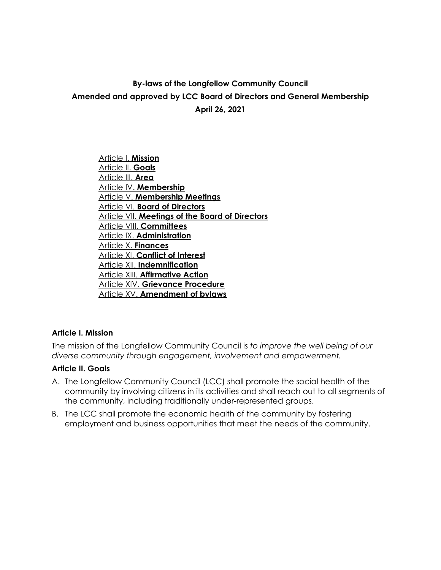# **By-laws of the Longfellow Community Council Amended and approved by LCC Board of Directors and General Membership April 26, 2021**

Article I. **Mission** Article II. **Goals** Article III. **Area** Article IV. **Membership** Article V. **Membership Meetings** Article VI. **Board of Directors** Article VII. **Meetings of the Board of Directors** Article VIII. **Committees** Article IX. **Administration** Article X. **Finances** Article XI. **Conflict of Interest** Article XII. **Indemnification** Article XIII. **Affirmative Action** Article XIV. **Grievance Procedure** Article XV. **Amendment of bylaws**

# **Article I. Mission**

The mission of the Longfellow Community Council is *to improve the well being of our diverse community through engagement, involvement and empowerment.*

## **Article II. Goals**

- A. The Longfellow Community Council (LCC) shall promote the social health of the community by involving citizens in its activities and shall reach out to all segments of the community, including traditionally under-represented groups.
- B. The LCC shall promote the economic health of the community by fostering employment and business opportunities that meet the needs of the community.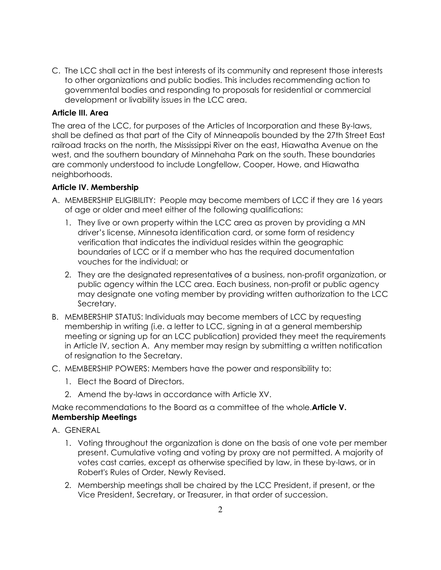C. The LCC shall act in the best interests of its community and represent those interests to other organizations and public bodies. This includes recommending action to governmental bodies and responding to proposals for residential or commercial development or livability issues in the LCC area.

## **Article III. Area**

The area of the LCC, for purposes of the Articles of Incorporation and these By-laws, shall be defined as that part of the City of Minneapolis bounded by the 27th Street East railroad tracks on the north, the Mississippi River on the east, Hiawatha Avenue on the west, and the southern boundary of Minnehaha Park on the south. These boundaries are commonly understood to include Longfellow, Cooper, Howe, and Hiawatha neighborhoods.

## **Article IV. Membership**

- A. MEMBERSHIP ELIGIBILITY: People may become members of LCC if they are 16 years of age or older and meet either of the following qualifications:
	- 1. They live or own property within the LCC area as proven by providing a MN driver's license, Minnesota identification card, or some form of residency verification that indicates the individual resides within the geographic boundaries of LCC or if a member who has the required documentation vouches for the individual; or
	- 2. They are the designated representatives of a business, non-profit organization, or public agency within the LCC area. Each business, non-profit or public agency may designate one voting member by providing written authorization to the LCC Secretary.
- B. MEMBERSHIP STATUS: Individuals may become members of LCC by requesting membership in writing (i.e. a letter to LCC, signing in at a general membership meeting or signing up for an LCC publication) provided they meet the requirements in Article IV, section A. Any member may resign by submitting a written notification of resignation to the Secretary.
- C. MEMBERSHIP POWERS: Members have the power and responsibility to:
	- 1. Elect the Board of Directors.
	- 2. Amend the by-laws in accordance with Article XV.

Make recommendations to the Board as a committee of the whole.**Article V. Membership Meetings**

- A. GENERAL
	- 1. Voting throughout the organization is done on the basis of one vote per member present. Cumulative voting and voting by proxy are not permitted. A majority of votes cast carries, except as otherwise specified by law, in these by-laws, or in Robert's Rules of Order, Newly Revised.
	- 2. Membership meetings shall be chaired by the LCC President, if present, or the Vice President, Secretary, or Treasurer, in that order of succession.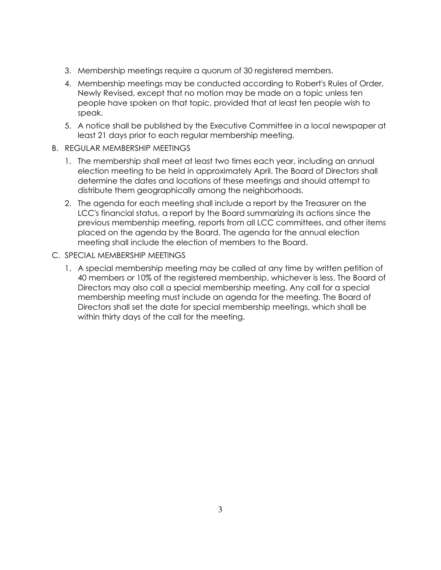- 3. Membership meetings require a quorum of 30 registered members.
- 4. Membership meetings may be conducted according to Robert's Rules of Order, Newly Revised, except that no motion may be made on a topic unless ten people have spoken on that topic, provided that at least ten people wish to speak.
- 5. A notice shall be published by the Executive Committee in a local newspaper at least 21 days prior to each regular membership meeting.
- B. REGULAR MEMBERSHIP MEETINGS
	- 1. The membership shall meet at least two times each year, including an annual election meeting to be held in approximately April. The Board of Directors shall determine the dates and locations of these meetings and should attempt to distribute them geographically among the neighborhoods.
	- 2. The agenda for each meeting shall include a report by the Treasurer on the LCC's financial status, a report by the Board summarizing its actions since the previous membership meeting, reports from all LCC committees, and other items placed on the agenda by the Board. The agenda for the annual election meeting shall include the election of members to the Board.
- C. SPECIAL MEMBERSHIP MEETINGS
	- 1. A special membership meeting may be called at any time by written petition of 40 members or 10% of the registered membership, whichever is less. The Board of Directors may also call a special membership meeting. Any call for a special membership meeting must include an agenda for the meeting. The Board of Directors shall set the date for special membership meetings, which shall be within thirty days of the call for the meeting.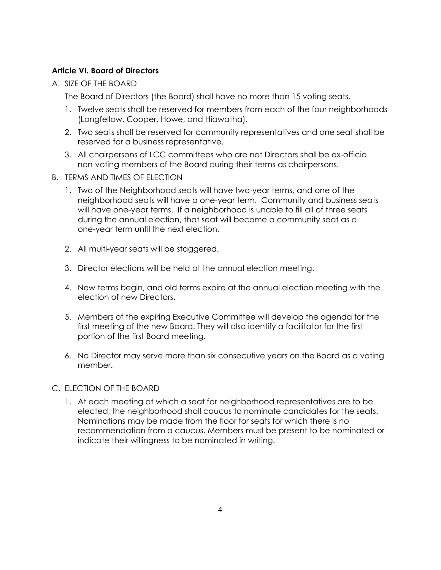# **Article VI. Board of Directors**

A. SIZE OF THE BOARD

The Board of Directors (the Board) shall have no more than 15 voting seats.

- 1. Twelve seats shall be reserved for members from each of the four neighborhoods (Longfellow, Cooper, Howe, and Hiawatha).
- 2. Two seats shall be reserved for community representatives and one seat shall be reserved for a business representative.
- 3. All chairpersons of LCC committees who are not Directors shall be ex-officio non-voting members of the Board during their terms as chairpersons.
- B. TERMS AND TIMES OF ELECTION
	- 1. Two of the Neighborhood seats will have two-year terms, and one of the neighborhood seats will have a one-year term. Community and business seats will have one-year terms. If a neighborhood is unable to fill all of three seats during the annual election, that seat will become a community seat as a one-year term until the next election.
	- 2. All multi-year seats will be staggered.
	- 3. Director elections will be held at the annual election meeting.
	- 4. New terms begin, and old terms expire at the annual election meeting with the election of new Directors.
	- 5. Members of the expiring Executive Committee will develop the agenda for the first meeting of the new Board. They will also identify a facilitator for the first portion of the first Board meeting.
	- 6. No Director may serve more than six consecutive years on the Board as a voting member.

# C. ELECTION OF THE BOARD

1. At each meeting at which a seat for neighborhood representatives are to be elected, the neighborhood shall caucus to nominate candidates for the seats. Nominations may be made from the floor for seats for which there is no recommendation from a caucus. Members must be present to be nominated or indicate their willingness to be nominated in writing.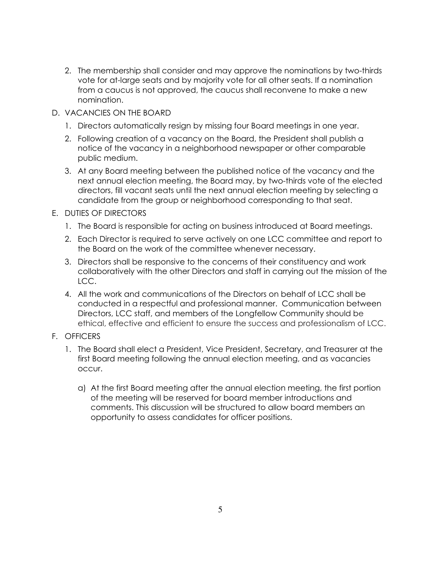- 2. The membership shall consider and may approve the nominations by two-thirds vote for at-large seats and by majority vote for all other seats. If a nomination from a caucus is not approved, the caucus shall reconvene to make a new nomination.
- D. VACANCIES ON THE BOARD
	- 1. Directors automatically resign by missing four Board meetings in one year.
	- 2. Following creation of a vacancy on the Board, the President shall publish a notice of the vacancy in a neighborhood newspaper or other comparable public medium.
	- 3. At any Board meeting between the published notice of the vacancy and the next annual election meeting, the Board may, by two-thirds vote of the elected directors, fill vacant seats until the next annual election meeting by selecting a candidate from the group or neighborhood corresponding to that seat.
- E. DUTIES OF DIRECTORS
	- 1. The Board is responsible for acting on business introduced at Board meetings.
	- 2. Each Director is required to serve actively on one LCC committee and report to the Board on the work of the committee whenever necessary.
	- 3. Directors shall be responsive to the concerns of their constituency and work collaboratively with the other Directors and staff in carrying out the mission of the LCC.
	- 4. All the work and communications of the Directors on behalf of LCC shall be conducted in a respectful and professional manner. Communication between Directors, LCC staff, and members of the Longfellow Community should be ethical, effective and efficient to ensure the success and professionalism of LCC.
- F. OFFICERS
	- 1. The Board shall elect a President, Vice President, Secretary, and Treasurer at the first Board meeting following the annual election meeting, and as vacancies occur.
		- a) At the first Board meeting after the annual election meeting, the first portion of the meeting will be reserved for board member introductions and comments. This discussion will be structured to allow board members an opportunity to assess candidates for officer positions.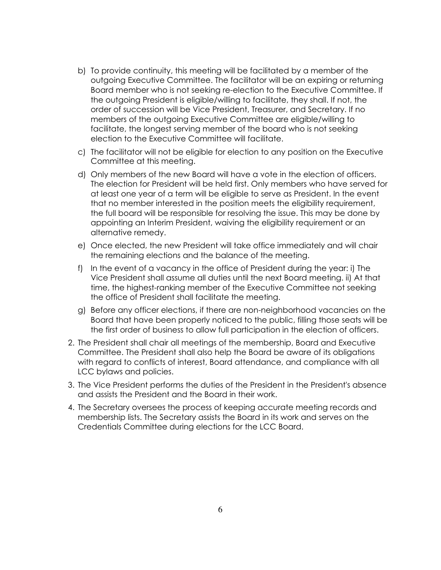- b) To provide continuity, this meeting will be facilitated by a member of the outgoing Executive Committee. The facilitator will be an expiring or returning Board member who is not seeking re-election to the Executive Committee. If the outgoing President is eligible/willing to facilitate, they shall. If not, the order of succession will be Vice President, Treasurer, and Secretary. If no members of the outgoing Executive Committee are eligible/willing to facilitate, the longest serving member of the board who is not seeking election to the Executive Committee will facilitate.
- c) The facilitator will not be eligible for election to any position on the Executive Committee at this meeting.
- d) Only members of the new Board will have a vote in the election of officers. The election for President will be held first. Only members who have served for at least one year of a term will be eligible to serve as President. In the event that no member interested in the position meets the eligibility requirement, the full board will be responsible for resolving the issue. This may be done by appointing an Interim President, waiving the eligibility requirement or an alternative remedy.
- e) Once elected, the new President will take office immediately and will chair the remaining elections and the balance of the meeting.
- f) In the event of a vacancy in the office of President during the year: i) The Vice President shall assume all duties until the next Board meeting. ii) At that time, the highest-ranking member of the Executive Committee not seeking the office of President shall facilitate the meeting.
- g) Before any officer elections, if there are non-neighborhood vacancies on the Board that have been properly noticed to the public, filling those seats will be the first order of business to allow full participation in the election of officers.
- 2. The President shall chair all meetings of the membership, Board and Executive Committee. The President shall also help the Board be aware of its obligations with regard to conflicts of interest, Board attendance, and compliance with all LCC bylaws and policies.
- 3. The Vice President performs the duties of the President in the President's absence and assists the President and the Board in their work.
- 4. The Secretary oversees the process of keeping accurate meeting records and membership lists. The Secretary assists the Board in its work and serves on the Credentials Committee during elections for the LCC Board.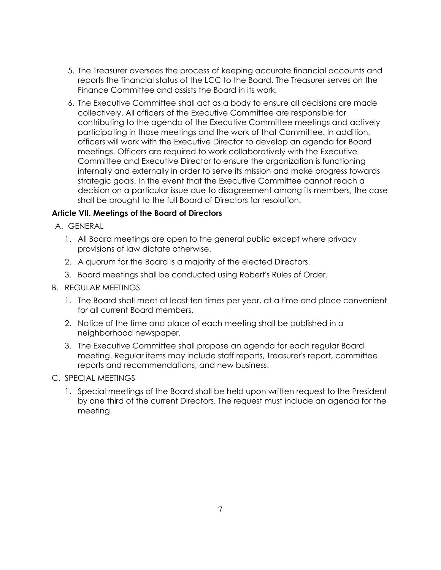- 5. The Treasurer oversees the process of keeping accurate financial accounts and reports the financial status of the LCC to the Board. The Treasurer serves on the Finance Committee and assists the Board in its work.
- 6. The Executive Committee shall act as a body to ensure all decisions are made collectively. All officers of the Executive Committee are responsible for contributing to the agenda of the Executive Committee meetings and actively participating in those meetings and the work of that Committee. In addition, officers will work with the Executive Director to develop an agenda for Board meetings. Officers are required to work collaboratively with the Executive Committee and Executive Director to ensure the organization is functioning internally and externally in order to serve its mission and make progress towards strategic goals. In the event that the Executive Committee cannot reach a decision on a particular issue due to disagreement among its members, the case shall be brought to the full Board of Directors for resolution.

# **Article VII. Meetings of the Board of Directors**

- A. GENERAL
	- 1. All Board meetings are open to the general public except where privacy provisions of law dictate otherwise.
	- 2. A quorum for the Board is a majority of the elected Directors.
	- 3. Board meetings shall be conducted using Robert's Rules of Order.
- B. REGULAR MEETINGS
	- 1. The Board shall meet at least ten times per year, at a time and place convenient for all current Board members.
	- 2. Notice of the time and place of each meeting shall be published in a neighborhood newspaper.
	- 3. The Executive Committee shall propose an agenda for each regular Board meeting. Regular items may include staff reports, Treasurer's report, committee reports and recommendations, and new business.
- C. SPECIAL MEETINGS
	- 1. Special meetings of the Board shall be held upon written request to the President by one third of the current Directors. The request must include an agenda for the meeting.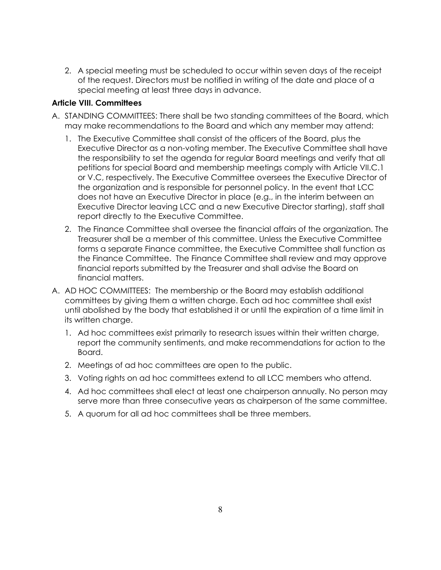2. A special meeting must be scheduled to occur within seven days of the receipt of the request. Directors must be notified in writing of the date and place of a special meeting at least three days in advance.

## **Article VIII. Committees**

- A. STANDING COMMITTEES: There shall be two standing committees of the Board, which may make recommendations to the Board and which any member may attend:
	- 1. The Executive Committee shall consist of the officers of the Board, plus the Executive Director as a non-voting member. The Executive Committee shall have the responsibility to set the agenda for regular Board meetings and verify that all petitions for special Board and membership meetings comply with Article VII.C.1 or V.C, respectively. The Executive Committee oversees the Executive Director of the organization and is responsible for personnel policy. In the event that LCC does not have an Executive Director in place (e.g., in the interim between an Executive Director leaving LCC and a new Executive Director starting), staff shall report directly to the Executive Committee.
	- 2. The Finance Committee shall oversee the financial affairs of the organization. The Treasurer shall be a member of this committee. Unless the Executive Committee forms a separate Finance committee, the Executive Committee shall function as the Finance Committee. The Finance Committee shall review and may approve financial reports submitted by the Treasurer and shall advise the Board on financial matters.
- A. AD HOC COMMITTEES: The membership or the Board may establish additional committees by giving them a written charge. Each ad hoc committee shall exist until abolished by the body that established it or until the expiration of a time limit in its written charge.
	- 1. Ad hoc committees exist primarily to research issues within their written charge, report the community sentiments, and make recommendations for action to the Board.
	- 2. Meetings of ad hoc committees are open to the public.
	- 3. Voting rights on ad hoc committees extend to all LCC members who attend.
	- 4. Ad hoc committees shall elect at least one chairperson annually. No person may serve more than three consecutive years as chairperson of the same committee.
	- 5. A quorum for all ad hoc committees shall be three members.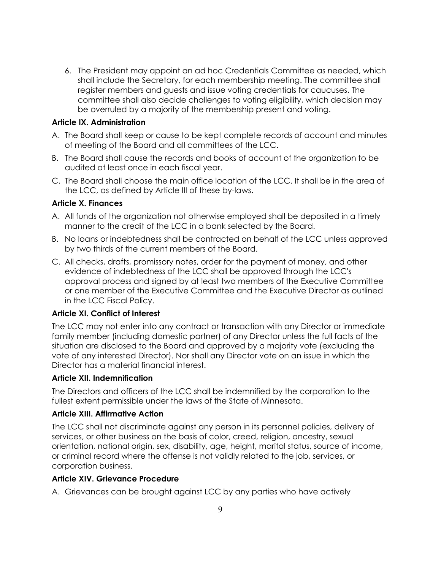6. The President may appoint an ad hoc Credentials Committee as needed, which shall include the Secretary, for each membership meeting. The committee shall register members and guests and issue voting credentials for caucuses. The committee shall also decide challenges to voting eligibility, which decision may be overruled by a majority of the membership present and voting.

## **Article IX. Administration**

- A. The Board shall keep or cause to be kept complete records of account and minutes of meeting of the Board and all committees of the LCC.
- B. The Board shall cause the records and books of account of the organization to be audited at least once in each fiscal year.
- C. The Board shall choose the main office location of the LCC. It shall be in the area of the LCC, as defined by Article III of these by-laws.

# **Article X. Finances**

- A. All funds of the organization not otherwise employed shall be deposited in a timely manner to the credit of the LCC in a bank selected by the Board.
- B. No loans or indebtedness shall be contracted on behalf of the LCC unless approved by two thirds of the current members of the Board.
- C. All checks, drafts, promissory notes, order for the payment of money, and other evidence of indebtedness of the LCC shall be approved through the LCC's approval process and signed by at least two members of the Executive Committee or one member of the Executive Committee and the Executive Director as outlined in the LCC Fiscal Policy.

# **Article XI. Conflict of Interest**

The LCC may not enter into any contract or transaction with any Director or immediate family member (including domestic partner) of any Director unless the full facts of the situation are disclosed to the Board and approved by a majority vote (excluding the vote of any interested Director). Nor shall any Director vote on an issue in which the Director has a material financial interest.

#### **Article XII. Indemnification**

The Directors and officers of the LCC shall be indemnified by the corporation to the fullest extent permissible under the laws of the State of Minnesota.

#### **Article XIII. Affirmative Action**

The LCC shall not discriminate against any person in its personnel policies, delivery of services, or other business on the basis of color, creed, religion, ancestry, sexual orientation, national origin, sex, disability, age, height, marital status, source of income, or criminal record where the offense is not validly related to the job, services, or corporation business.

#### **Article XIV. Grievance Procedure**

A. Grievances can be brought against LCC by any parties who have actively